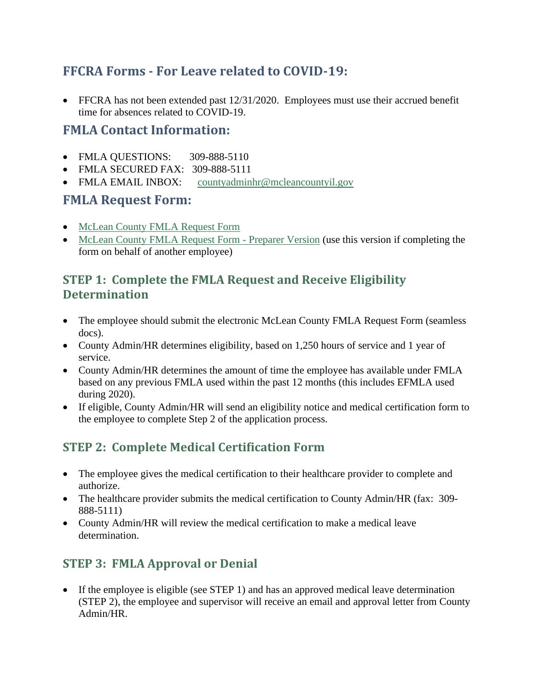## **FFCRA Forms - For Leave related to COVID-19:**

• FFCRA has not been extended past 12/31/2020. Employees must use their accrued benefit time for absences related to COVID-19.

## **FMLA Contact Information:**

- FMLA QUESTIONS: 309-888-5110
- FMLA SECURED FAX: 309-888-5111
- FMLA EMAIL INBOX: [countyadminhr@mcleancountyil.gov](mailto:countyadminhr@mcleancountyil.gov)

## **FMLA Request Form:**

- [McLean County FMLA Request Form](https://mcleanil.seamlessdocs.com/f/FMLARequestForm)
- [McLean County FMLA Request Form -](https://mcleanil.seamlessdocs.com/f/FMLARequestForm/prepare) Preparer Version (use this version if completing the form on behalf of another employee)

## **STEP 1: Complete the FMLA Request and Receive Eligibility Determination**

- The employee should submit the electronic McLean County FMLA Request Form (seamless docs).
- County Admin/HR determines eligibility, based on 1,250 hours of service and 1 year of service.
- County Admin/HR determines the amount of time the employee has available under FMLA based on any previous FMLA used within the past 12 months (this includes EFMLA used during 2020).
- If eligible, County Admin/HR will send an eligibility notice and medical certification form to the employee to complete Step 2 of the application process.

# **STEP 2: Complete Medical Certification Form**

- The employee gives the medical certification to their healthcare provider to complete and authorize.
- The healthcare provider submits the medical certification to County Admin/HR (fax: 309-888-5111)
- County Admin/HR will review the medical certification to make a medical leave determination.

# **STEP 3: FMLA Approval or Denial**

• If the employee is eligible (see STEP 1) and has an approved medical leave determination (STEP 2), the employee and supervisor will receive an email and approval letter from County Admin/HR.